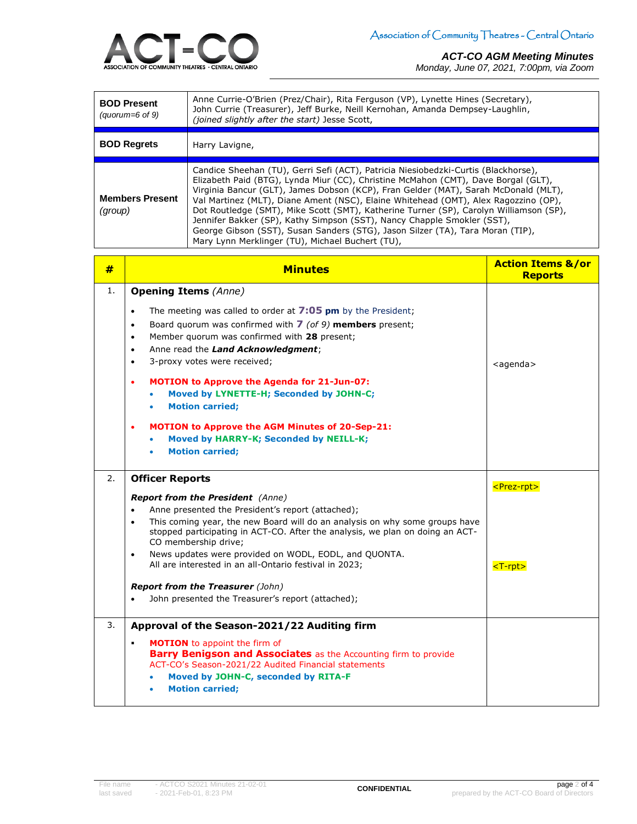

#### *ACT-CO AGM Meeting Minutes*

*Monday, June 07, 2021, 7:00pm, via Zoom*

| <b>BOD Present</b><br>(quorum= $6$ of 9) | Anne Currie-O'Brien (Prez/Chair), Rita Ferguson (VP), Lynette Hines (Secretary),<br>John Currie (Treasurer), Jeff Burke, Neill Kernohan, Amanda Dempsey-Laughlin,<br>(joined slightly after the start) Jesse Scott,                                                                                                                                                                                                                                                                                                                                                                                                                                               |  |
|------------------------------------------|-------------------------------------------------------------------------------------------------------------------------------------------------------------------------------------------------------------------------------------------------------------------------------------------------------------------------------------------------------------------------------------------------------------------------------------------------------------------------------------------------------------------------------------------------------------------------------------------------------------------------------------------------------------------|--|
| <b>BOD Regrets</b>                       | Harry Lavigne,                                                                                                                                                                                                                                                                                                                                                                                                                                                                                                                                                                                                                                                    |  |
| <b>Members Present</b><br>(group)        | Candice Sheehan (TU), Gerri Sefi (ACT), Patricia Niesiobedzki-Curtis (Blackhorse),<br>Elizabeth Paid (BTG), Lynda Miur (CC), Christine McMahon (CMT), Dave Borgal (GLT),<br>Virginia Bancur (GLT), James Dobson (KCP), Fran Gelder (MAT), Sarah McDonald (MLT),<br>Val Martinez (MLT), Diane Ament (NSC), Elaine Whitehead (OMT), Alex Ragozzino (OP),<br>Dot Routledge (SMT), Mike Scott (SMT), Katherine Turner (SP), Carolyn Williamson (SP),<br>Jennifer Bakker (SP), Kathy Simpson (SST), Nancy Chapple Smokler (SST),<br>George Gibson (SST), Susan Sanders (STG), Jason Silzer (TA), Tara Moran (TIP),<br>Mary Lynn Merklinger (TU), Michael Buchert (TU), |  |

| #  | <b>Minutes</b>                                                                                                                                                                                                                                                                                                                                                                                                                                                                                                                                                                                                       | <b>Action Items &amp;/or</b><br><b>Reports</b>                    |
|----|----------------------------------------------------------------------------------------------------------------------------------------------------------------------------------------------------------------------------------------------------------------------------------------------------------------------------------------------------------------------------------------------------------------------------------------------------------------------------------------------------------------------------------------------------------------------------------------------------------------------|-------------------------------------------------------------------|
| 1. | <b>Opening Items (Anne)</b><br>The meeting was called to order at $7:05$ pm by the President;<br>$\bullet$<br>Board quorum was confirmed with 7 (of 9) members present;<br>$\bullet$<br>Member quorum was confirmed with 28 present;<br>$\bullet$<br>Anne read the Land Acknowledgment;<br>$\bullet$<br>3-proxy votes were received;<br>$\bullet$<br><b>MOTION to Approve the Agenda for 21-Jun-07:</b><br>٠<br>Moved by LYNETTE-H; Seconded by JOHN-C;<br><b>Motion carried;</b><br><b>MOTION to Approve the AGM Minutes of 20-Sep-21:</b><br>٠<br>Moved by HARRY-K; Seconded by NEILL-K;<br><b>Motion carried;</b> | $agenda$                                                          |
| 2. | <b>Officer Reports</b><br><b>Report from the President</b> (Anne)<br>Anne presented the President's report (attached);<br>$\bullet$<br>This coming year, the new Board will do an analysis on why some groups have<br>$\bullet$<br>stopped participating in ACT-CO. After the analysis, we plan on doing an ACT-<br>CO membership drive;<br>News updates were provided on WODL, EODL, and QUONTA.<br>$\bullet$<br>All are interested in an all-Ontario festival in 2023;<br><b>Report from the Treasurer (John)</b><br>John presented the Treasurer's report (attached);                                             | <prez-rpt><br/><math>\textrm{ <t-rpt> }</t-rpt></math></prez-rpt> |
| 3. | Approval of the Season-2021/22 Auditing firm<br><b>MOTION</b> to appoint the firm of<br>٠<br><b>Barry Benigson and Associates</b> as the Accounting firm to provide<br>ACT-CO's Season-2021/22 Audited Financial statements<br>Moved by JOHN-C, seconded by RITA-F<br><b>Motion carried;</b>                                                                                                                                                                                                                                                                                                                         |                                                                   |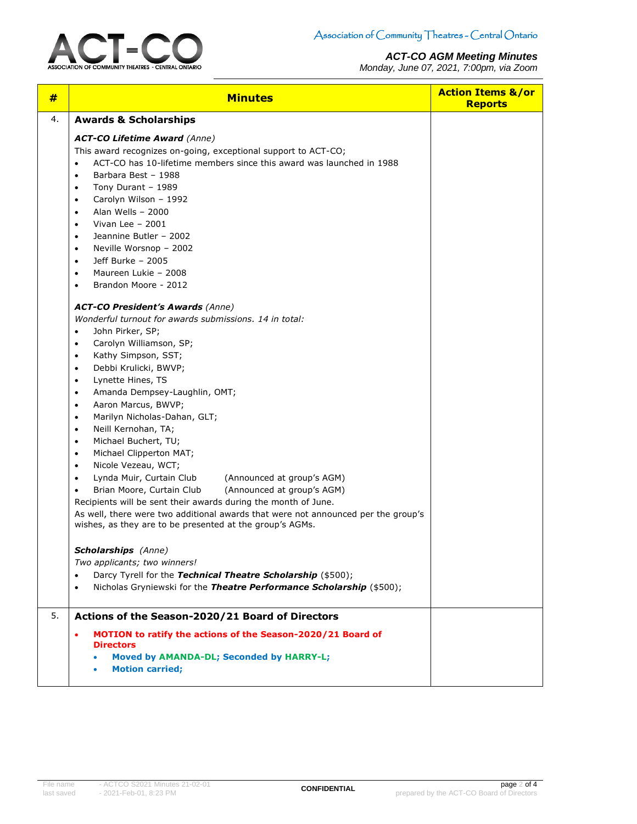

*ACT-CO AGM Meeting Minutes Monday, June 07, 2021, 7:00pm, via Zoom*

| #  | <b>Minutes</b>                                                                                                                                                                                                                                                                                                                                                                                                                                                                                                                                                                                                                                                                                                                                                                                                                                                                                                       | <b>Action Items &amp;/or</b><br><b>Reports</b> |
|----|----------------------------------------------------------------------------------------------------------------------------------------------------------------------------------------------------------------------------------------------------------------------------------------------------------------------------------------------------------------------------------------------------------------------------------------------------------------------------------------------------------------------------------------------------------------------------------------------------------------------------------------------------------------------------------------------------------------------------------------------------------------------------------------------------------------------------------------------------------------------------------------------------------------------|------------------------------------------------|
| 4. | <b>Awards &amp; Scholarships</b>                                                                                                                                                                                                                                                                                                                                                                                                                                                                                                                                                                                                                                                                                                                                                                                                                                                                                     |                                                |
|    | <b>ACT-CO Lifetime Award (Anne)</b><br>This award recognizes on-going, exceptional support to ACT-CO;<br>ACT-CO has 10-lifetime members since this award was launched in 1988<br>$\bullet$<br>Barbara Best - 1988<br>$\bullet$<br>Tony Durant - 1989<br>$\bullet$<br>Carolyn Wilson - 1992<br>$\bullet$<br>Alan Wells - 2000<br>$\bullet$<br>Vivan Lee $-2001$<br>٠<br>Jeannine Butler - 2002<br>٠<br>Neville Worsnop - 2002<br>$\bullet$<br>Jeff Burke - 2005<br>$\bullet$<br>Maureen Lukie - 2008<br>٠<br>Brandon Moore - 2012<br>$\bullet$                                                                                                                                                                                                                                                                                                                                                                        |                                                |
|    | <b>ACT-CO President's Awards (Anne)</b><br>Wonderful turnout for awards submissions. 14 in total:<br>John Pirker, SP;<br>$\bullet$<br>Carolyn Williamson, SP;<br>$\bullet$<br>Kathy Simpson, SST;<br>٠<br>Debbi Krulicki, BWVP;<br>$\bullet$<br>Lynette Hines, TS<br>$\bullet$<br>Amanda Dempsey-Laughlin, OMT;<br>$\bullet$<br>Aaron Marcus, BWVP;<br>$\bullet$<br>Marilyn Nicholas-Dahan, GLT;<br>$\bullet$<br>Neill Kernohan, TA;<br>٠<br>Michael Buchert, TU;<br>٠<br>Michael Clipperton MAT;<br>$\bullet$<br>Nicole Vezeau, WCT;<br>$\bullet$<br>Lynda Muir, Curtain Club<br>(Announced at group's AGM)<br>$\bullet$<br>Brian Moore, Curtain Club<br>(Announced at group's AGM)<br>$\bullet$<br>Recipients will be sent their awards during the month of June.<br>As well, there were two additional awards that were not announced per the group's<br>wishes, as they are to be presented at the group's AGMs. |                                                |
|    | <b>Scholarships</b> (Anne)<br>Two applicants; two winners!<br>Darcy Tyrell for the Technical Theatre Scholarship (\$500);<br>$\bullet$<br>Nicholas Gryniewski for the Theatre Performance Scholarship (\$500);<br>$\bullet$                                                                                                                                                                                                                                                                                                                                                                                                                                                                                                                                                                                                                                                                                          |                                                |
| 5. | Actions of the Season-2020/21 Board of Directors<br>MOTION to ratify the actions of the Season-2020/21 Board of<br>٠<br><b>Directors</b><br><b>Moved by AMANDA-DL; Seconded by HARRY-L;</b><br><b>Motion carried;</b>                                                                                                                                                                                                                                                                                                                                                                                                                                                                                                                                                                                                                                                                                                |                                                |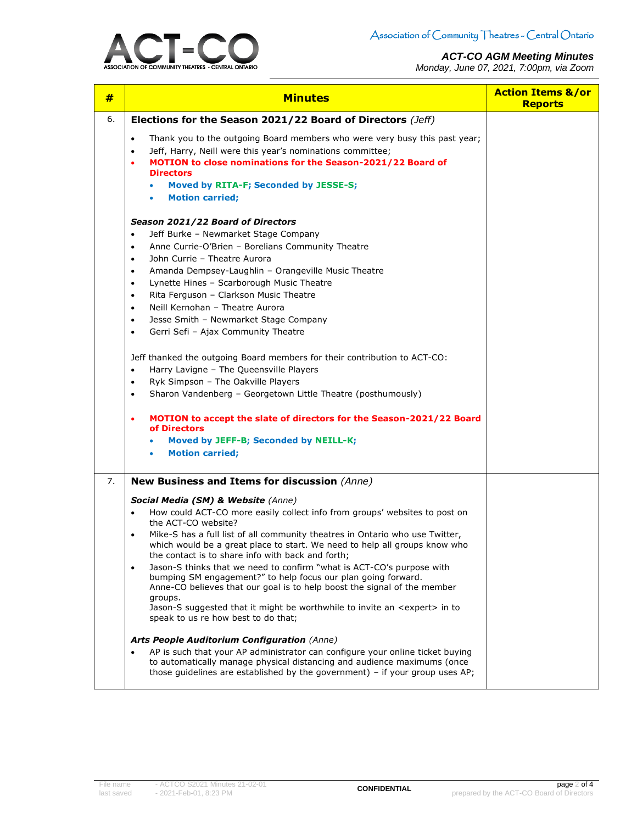### *ACT-CO AGM Meeting Minutes*

*Monday, June 07, 2021, 7:00pm, via Zoom*



| #  | <b>Minutes</b>                                                                                                                                                                                                                                                                                                                | <b>Action Items &amp;/or</b><br><b>Reports</b> |
|----|-------------------------------------------------------------------------------------------------------------------------------------------------------------------------------------------------------------------------------------------------------------------------------------------------------------------------------|------------------------------------------------|
| 6. | Elections for the Season 2021/22 Board of Directors (Jeff)                                                                                                                                                                                                                                                                    |                                                |
|    | Thank you to the outgoing Board members who were very busy this past year;<br>$\bullet$<br>Jeff, Harry, Neill were this year's nominations committee;<br>$\bullet$<br>MOTION to close nominations for the Season-2021/22 Board of<br>٠<br><b>Directors</b><br>Moved by RITA-F; Seconded by JESSE-S;<br><b>Motion carried:</b> |                                                |
|    | Season 2021/22 Board of Directors                                                                                                                                                                                                                                                                                             |                                                |
|    | Jeff Burke - Newmarket Stage Company<br>$\bullet$                                                                                                                                                                                                                                                                             |                                                |
|    | Anne Currie-O'Brien - Borelians Community Theatre<br>$\bullet$                                                                                                                                                                                                                                                                |                                                |
|    | John Currie - Theatre Aurora<br>$\bullet$                                                                                                                                                                                                                                                                                     |                                                |
|    | Amanda Dempsey-Laughlin - Orangeville Music Theatre<br>$\bullet$                                                                                                                                                                                                                                                              |                                                |
|    | Lynette Hines - Scarborough Music Theatre<br>$\bullet$<br>Rita Ferguson - Clarkson Music Theatre<br>$\bullet$                                                                                                                                                                                                                 |                                                |
|    | Neill Kernohan - Theatre Aurora<br>$\bullet$                                                                                                                                                                                                                                                                                  |                                                |
|    | Jesse Smith - Newmarket Stage Company<br>$\bullet$                                                                                                                                                                                                                                                                            |                                                |
|    | Gerri Sefi - Ajax Community Theatre<br>$\bullet$                                                                                                                                                                                                                                                                              |                                                |
|    | Jeff thanked the outgoing Board members for their contribution to ACT-CO:                                                                                                                                                                                                                                                     |                                                |
|    | Harry Lavigne - The Queensville Players<br>$\bullet$                                                                                                                                                                                                                                                                          |                                                |
|    | Ryk Simpson - The Oakville Players<br>$\bullet$<br>Sharon Vandenberg - Georgetown Little Theatre (posthumously)<br>$\bullet$                                                                                                                                                                                                  |                                                |
|    |                                                                                                                                                                                                                                                                                                                               |                                                |
|    | MOTION to accept the slate of directors for the Season-2021/22 Board<br>٠<br>of Directors                                                                                                                                                                                                                                     |                                                |
|    | Moved by JEFF-B; Seconded by NEILL-K;                                                                                                                                                                                                                                                                                         |                                                |
|    | <b>Motion carried;</b>                                                                                                                                                                                                                                                                                                        |                                                |
| 7. | New Business and Items for discussion (Anne)                                                                                                                                                                                                                                                                                  |                                                |
|    | Social Media (SM) & Website (Anne)                                                                                                                                                                                                                                                                                            |                                                |
|    | How could ACT-CO more easily collect info from groups' websites to post on<br>$\bullet$<br>the ACT-CO website?                                                                                                                                                                                                                |                                                |
|    | Mike-S has a full list of all community theatres in Ontario who use Twitter,<br>which would be a great place to start. We need to help all groups know who                                                                                                                                                                    |                                                |
|    | the contact is to share info with back and forth;<br>Jason-S thinks that we need to confirm "what is ACT-CO's purpose with<br>$\bullet$                                                                                                                                                                                       |                                                |
|    | bumping SM engagement?" to help focus our plan going forward.<br>Anne-CO believes that our goal is to help boost the signal of the member                                                                                                                                                                                     |                                                |
|    | groups.<br>Jason-S suggested that it might be worthwhile to invite an <expert> in to<br/>speak to us re how best to do that;</expert>                                                                                                                                                                                         |                                                |
|    | <b>Arts People Auditorium Configuration (Anne)</b>                                                                                                                                                                                                                                                                            |                                                |
|    | AP is such that your AP administrator can configure your online ticket buying<br>to automatically manage physical distancing and audience maximums (once<br>those guidelines are established by the government) - if your group uses AP;                                                                                      |                                                |
|    |                                                                                                                                                                                                                                                                                                                               |                                                |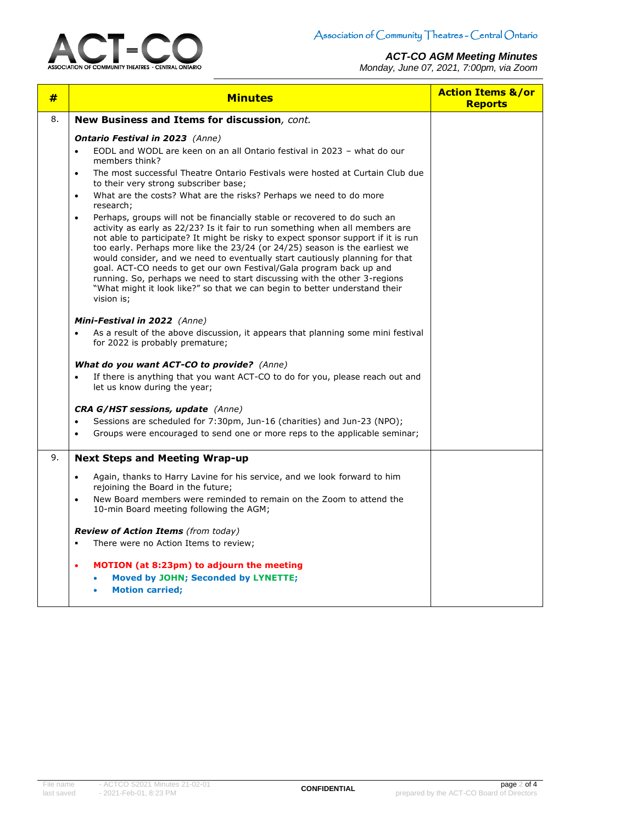

### *ACT-CO AGM Meeting Minutes*

*Monday, June 07, 2021, 7:00pm, via Zoom*

| #  | <b>Minutes</b>                                                                                                                                                                                                                                                                                                                                                                                                                                                                                                                                                                                                                                                                                                                                                                                                                                                                                                                                                                                                                                                        | <b>Action Items &amp;/or</b><br><b>Reports</b> |
|----|-----------------------------------------------------------------------------------------------------------------------------------------------------------------------------------------------------------------------------------------------------------------------------------------------------------------------------------------------------------------------------------------------------------------------------------------------------------------------------------------------------------------------------------------------------------------------------------------------------------------------------------------------------------------------------------------------------------------------------------------------------------------------------------------------------------------------------------------------------------------------------------------------------------------------------------------------------------------------------------------------------------------------------------------------------------------------|------------------------------------------------|
| 8. | New Business and Items for discussion, cont.                                                                                                                                                                                                                                                                                                                                                                                                                                                                                                                                                                                                                                                                                                                                                                                                                                                                                                                                                                                                                          |                                                |
|    | <b>Ontario Festival in 2023</b> (Anne)<br>EODL and WODL are keen on an all Ontario festival in 2023 - what do our<br>$\bullet$<br>members think?<br>The most successful Theatre Ontario Festivals were hosted at Curtain Club due<br>$\bullet$<br>to their very strong subscriber base;<br>What are the costs? What are the risks? Perhaps we need to do more<br>$\bullet$<br>research;<br>Perhaps, groups will not be financially stable or recovered to do such an<br>$\bullet$<br>activity as early as 22/23? Is it fair to run something when all members are<br>not able to participate? It might be risky to expect sponsor support if it is run<br>too early. Perhaps more like the 23/24 (or 24/25) season is the earliest we<br>would consider, and we need to eventually start cautiously planning for that<br>goal. ACT-CO needs to get our own Festival/Gala program back up and<br>running. So, perhaps we need to start discussing with the other 3-regions<br>"What might it look like?" so that we can begin to better understand their<br>vision is; |                                                |
|    | Mini-Festival in 2022 (Anne)<br>As a result of the above discussion, it appears that planning some mini festival<br>$\bullet$<br>for 2022 is probably premature;<br>What do you want ACT-CO to provide? (Anne)<br>If there is anything that you want ACT-CO to do for you, please reach out and<br>$\bullet$<br>let us know during the year;<br><b>CRA G/HST sessions, update</b> (Anne)<br>Sessions are scheduled for 7:30pm, Jun-16 (charities) and Jun-23 (NPO);<br>$\bullet$<br>Groups were encouraged to send one or more reps to the applicable seminar;<br>$\bullet$                                                                                                                                                                                                                                                                                                                                                                                                                                                                                           |                                                |
| 9. | <b>Next Steps and Meeting Wrap-up</b><br>Again, thanks to Harry Lavine for his service, and we look forward to him<br>$\bullet$<br>rejoining the Board in the future;<br>New Board members were reminded to remain on the Zoom to attend the<br>$\bullet$<br>10-min Board meeting following the AGM;<br><b>Review of Action Items</b> (from today)<br>There were no Action Items to review;<br>$\blacksquare$<br><b>MOTION</b> (at 8:23pm) to adjourn the meeting<br>٠<br>Moved by JOHN; Seconded by LYNETTE;<br><b>Motion carried:</b>                                                                                                                                                                                                                                                                                                                                                                                                                                                                                                                               |                                                |